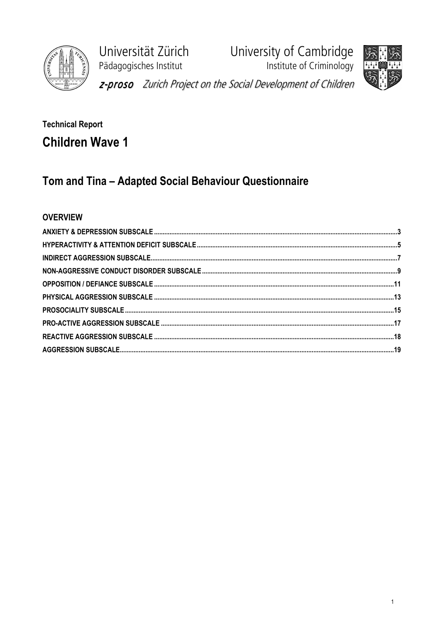

University of Cambridge<br>Institute of Criminology Universität Zürich Pädagogisches Institut z-proso Zurich Project on the Social Development of Children



# **Technical Report Children Wave 1**

# Tom and Tina - Adapted Social Behaviour Questionnaire

## **OVERVIEW**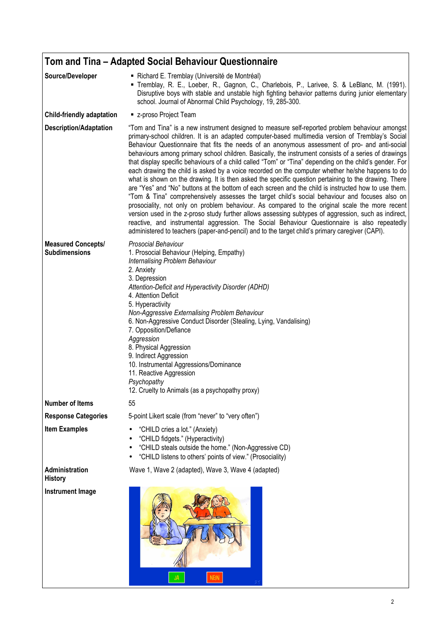|                                                   | Tom and Tina - Adapted Social Behaviour Questionnaire                                                                                                                                                                                                                                                                                                                                                                                                                                                                                                                                                                                                                                                                                                                                                                                                                                                                                                                                                                                                                                                                                                                                                                                                                                                                                                      |
|---------------------------------------------------|------------------------------------------------------------------------------------------------------------------------------------------------------------------------------------------------------------------------------------------------------------------------------------------------------------------------------------------------------------------------------------------------------------------------------------------------------------------------------------------------------------------------------------------------------------------------------------------------------------------------------------------------------------------------------------------------------------------------------------------------------------------------------------------------------------------------------------------------------------------------------------------------------------------------------------------------------------------------------------------------------------------------------------------------------------------------------------------------------------------------------------------------------------------------------------------------------------------------------------------------------------------------------------------------------------------------------------------------------------|
| Source/Developer                                  | Richard E. Tremblay (Université de Montréal)<br>" Tremblay, R. E., Loeber, R., Gagnon, C., Charlebois, P., Larivee, S. & LeBlanc, M. (1991).<br>Disruptive boys with stable and unstable high fighting behavior patterns during junior elementary<br>school. Journal of Abnormal Child Psychology, 19, 285-300.                                                                                                                                                                                                                                                                                                                                                                                                                                                                                                                                                                                                                                                                                                                                                                                                                                                                                                                                                                                                                                            |
| <b>Child-friendly adaptation</b>                  | ■ z-proso Project Team                                                                                                                                                                                                                                                                                                                                                                                                                                                                                                                                                                                                                                                                                                                                                                                                                                                                                                                                                                                                                                                                                                                                                                                                                                                                                                                                     |
| <b>Description/Adaptation</b>                     | "Tom and Tina" is a new instrument designed to measure self-reported problem behaviour amongst<br>primary-school children. It is an adapted computer-based multimedia version of Tremblay's Social<br>Behaviour Questionnaire that fits the needs of an anonymous assessment of pro- and anti-social<br>behaviours among primary school children. Basically, the instrument consists of a series of drawings<br>that display specific behaviours of a child called "Tom" or "Tina" depending on the child's gender. For<br>each drawing the child is asked by a voice recorded on the computer whether he/she happens to do<br>what is shown on the drawing. It is then asked the specific question pertaining to the drawing. There<br>are "Yes" and "No" buttons at the bottom of each screen and the child is instructed how to use them.<br>"Tom & Tina" comprehensively assesses the target child's social behaviour and focuses also on<br>prosociality, not only on problem behaviour. As compared to the original scale the more recent<br>version used in the z-proso study further allows assessing subtypes of aggression, such as indirect,<br>reactive, and instrumental aggression. The Social Behaviour Questionnaire is also repeatedly<br>administered to teachers (paper-and-pencil) and to the target child's primary caregiver (CAPI). |
| <b>Measured Concepts/</b><br><b>Subdimensions</b> | Prosocial Behaviour<br>1. Prosocial Behaviour (Helping, Empathy)<br>Internalising Problem Behaviour<br>2. Anxiety<br>3. Depression<br>Attention-Deficit and Hyperactivity Disorder (ADHD)<br>4. Attention Deficit<br>5. Hyperactivity<br>Non-Aggressive Externalising Problem Behaviour<br>6. Non-Aggressive Conduct Disorder (Stealing, Lying, Vandalising)<br>7. Opposition/Defiance<br>Aggression<br>8. Physical Aggression<br>9. Indirect Aggression<br>10. Instrumental Aggressions/Dominance<br>11. Reactive Aggression<br>Psychopathy<br>12. Cruelty to Animals (as a psychopathy proxy)                                                                                                                                                                                                                                                                                                                                                                                                                                                                                                                                                                                                                                                                                                                                                            |
| <b>Number of Items</b>                            | 55                                                                                                                                                                                                                                                                                                                                                                                                                                                                                                                                                                                                                                                                                                                                                                                                                                                                                                                                                                                                                                                                                                                                                                                                                                                                                                                                                         |
| <b>Response Categories</b>                        | 5-point Likert scale (from "never" to "very often")                                                                                                                                                                                                                                                                                                                                                                                                                                                                                                                                                                                                                                                                                                                                                                                                                                                                                                                                                                                                                                                                                                                                                                                                                                                                                                        |
| <b>Item Examples</b>                              | "CHILD cries a lot." (Anxiety)<br>"CHILD fidgets." (Hyperactivity)<br>"CHILD steals outside the home." (Non-Aggressive CD)<br>"CHILD listens to others' points of view." (Prosociality)                                                                                                                                                                                                                                                                                                                                                                                                                                                                                                                                                                                                                                                                                                                                                                                                                                                                                                                                                                                                                                                                                                                                                                    |
| Administration<br><b>History</b>                  | Wave 1, Wave 2 (adapted), Wave 3, Wave 4 (adapted)                                                                                                                                                                                                                                                                                                                                                                                                                                                                                                                                                                                                                                                                                                                                                                                                                                                                                                                                                                                                                                                                                                                                                                                                                                                                                                         |
| <b>Instrument Image</b>                           | <b>NEIN</b>                                                                                                                                                                                                                                                                                                                                                                                                                                                                                                                                                                                                                                                                                                                                                                                                                                                                                                                                                                                                                                                                                                                                                                                                                                                                                                                                                |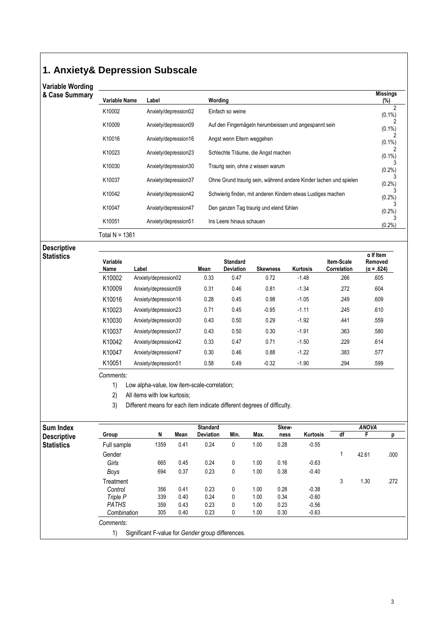# **1. Anxiety& Depression Subscale**

# Variable Wording<br>& Case Summary

| & Case Summary | Variable Name    | Label                | Wording                                                           | <b>Missings</b><br>$(\%)$ |
|----------------|------------------|----------------------|-------------------------------------------------------------------|---------------------------|
|                | K10002           | Anxiety/depression02 | Einfach so weine                                                  | 2<br>$(0.1\%)$            |
|                | K10009           | Anxiety/depression09 | Auf den Fingernägeln herumbeissen und angespannt sein             | $(0.1\%)$                 |
|                | K10016           | Anxiety/depression16 | Angst wenn Eltern weggehen                                        | $(0.1\%)$                 |
|                | K10023           | Anxiety/depression23 | Schlechte Träume, die Angst machen                                | $(0.1\%)$                 |
|                | K10030           | Anxiety/depression30 | Traurig sein, ohne z wissen warum                                 | (0.2%                     |
|                | K10037           | Anxiety/depression37 | Ohne Grund traurig sein, während andere Kinder lachen und spielen | (0.2%                     |
|                | K10042           | Anxiety/depression42 | Schwierig finden, mit anderen Kindern etwas Lustiges machen       | (0.2%)                    |
|                | K10047           | Anxiety/depression47 | Den ganzen Tag traurig und elend fühlen                           | (0.2%                     |
|                | K10051           | Anxiety/depression51 | Ins Leere hinaus schauen                                          | $(0.2\%)$                 |
|                | Total $N = 1361$ |                      |                                                                   |                           |

Descriptive

| <b>Statistics</b> | Variable<br>Name | Label                | Mean | <b>Standard</b><br><b>Deviation</b> | <b>Skewness</b> | <b>Kurtosis</b> | Item-Scale<br>Correlation | $\alpha$ If Item<br>Removed<br>$(\alpha = .624)$ |
|-------------------|------------------|----------------------|------|-------------------------------------|-----------------|-----------------|---------------------------|--------------------------------------------------|
|                   | K10002           | Anxiety/depression02 | 0.33 | 0.47                                | 0.72            | $-1.48$         | .266                      | .605                                             |
|                   | K10009           | Anxiety/depression09 | 0.31 | 0.46                                | 0.81            | $-1.34$         | .272                      | .604                                             |
|                   | K10016           | Anxiety/depression16 | 0.28 | 0.45                                | 0.98            | $-1.05$         | .249                      | .609                                             |
|                   | K10023           | Anxiety/depression23 | 0.71 | 0.45                                | $-0.95$         | $-1.11$         | .245                      | .610                                             |
|                   | K10030           | Anxiety/depression30 | 0.43 | 0.50                                | 0.29            | $-1.92$         | .441                      | .559                                             |
|                   | K10037           | Anxiety/depression37 | 0.43 | 0.50                                | 0.30            | $-1.91$         | .363                      | .580                                             |
|                   | K10042           | Anxiety/depression42 | 0.33 | 0.47                                | 0.71            | $-1.50$         | .229                      | .614                                             |
|                   | K10047           | Anxiety/depression47 | 0.30 | 0.46                                | 0.88            | $-1.22$         | .383                      | .577                                             |
|                   | K10051           | Anxiety/depression51 | 0.58 | 0.49                                | $-0.32$         | $-1.90$         | .294                      | .599                                             |

Comments:

1) Low alpha-value, low item-scale-correlation;

2) All items with low kurtosis;

3) Different means for each item indicate different degrees of difficulty.

| <b>Sum Index</b>   |              |      |      | <b>Standard</b>                                   |      |      | Skew- |                 |    | <b>ANOVA</b> |      |
|--------------------|--------------|------|------|---------------------------------------------------|------|------|-------|-----------------|----|--------------|------|
| <b>Descriptive</b> | Group        | N    | Mean | <b>Deviation</b>                                  | Min. | Max. | ness  | <b>Kurtosis</b> | df |              | р    |
| <b>Statistics</b>  | Full sample  | 1359 | 0.41 | 0.24                                              | 0    | 1.00 | 0.28  | $-0.55$         |    |              |      |
|                    | Gender       |      |      |                                                   |      |      |       |                 |    | 42.61        | .000 |
|                    | Girls        | 665  | 0.45 | 0.24                                              | 0    | 1.00 | 0.16  | $-0.63$         |    |              |      |
|                    | Boys         | 694  | 0.37 | 0.23                                              | 0    | 1.00 | 0.38  | $-0.40$         |    |              |      |
|                    | Treatment    |      |      |                                                   |      |      |       |                 | 3  | 1.30         | .272 |
|                    | Control      | 356  | 0.41 | 0.23                                              | 0    | 1.00 | 0.28  | $-0.38$         |    |              |      |
|                    | Triple P     | 339  | 0.40 | 0.24                                              | 0    | 1.00 | 0.34  | $-0.60$         |    |              |      |
|                    | <b>PATHS</b> | 359  | 0.43 | 0.23                                              | 0    | 1.00 | 0.23  | $-0.56$         |    |              |      |
|                    | Combination  | 305  | 0.40 | 0.23                                              | 0    | 1.00 | 0.30  | $-0.63$         |    |              |      |
|                    | Comments:    |      |      |                                                   |      |      |       |                 |    |              |      |
|                    | 1)           |      |      | Significant F-value for Gender group differences. |      |      |       |                 |    |              |      |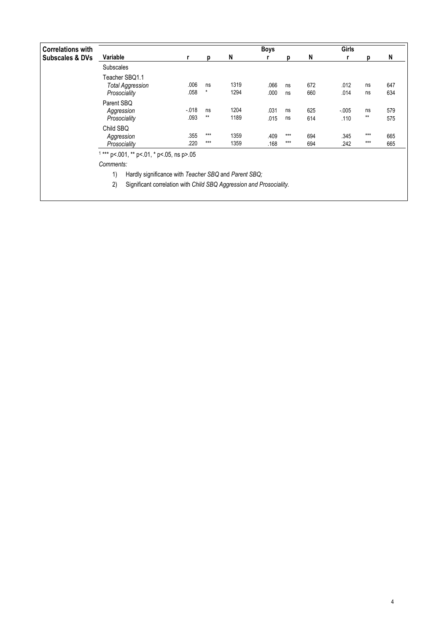| <b>Correlations with</b>   |                                                            |                                                                     |              |              | <b>Boys</b>  |                |            | <b>Girls</b>     |                |            |  |  |  |
|----------------------------|------------------------------------------------------------|---------------------------------------------------------------------|--------------|--------------|--------------|----------------|------------|------------------|----------------|------------|--|--|--|
| <b>Subscales &amp; DVs</b> | Variable                                                   |                                                                     | p            | N            |              | D              | N          |                  |                | N          |  |  |  |
|                            | <b>Subscales</b>                                           |                                                                     |              |              |              |                |            |                  |                |            |  |  |  |
|                            | Teacher SBQ1.1<br><b>Total Aggression</b><br>Prosociality  | .006<br>.058                                                        | ns<br>*      | 1319<br>1294 | .066<br>.000 | ns<br>ns       | 672<br>660 | .012<br>.014     | ns<br>ns       | 647<br>634 |  |  |  |
|                            | Parent SBQ<br>Aggression<br>Prosociality                   | $-018$<br>.093                                                      | ns<br>$***$  | 1204<br>1189 | .031<br>.015 | ns<br>ns       | 625<br>614 | $-0.005$<br>.110 | ns<br>$**$     | 579<br>575 |  |  |  |
|                            | Child SBQ<br>Aggression<br>Prosociality                    | .355<br>.220                                                        | ***<br>$***$ | 1359<br>1359 | .409<br>.168 | $***$<br>$***$ | 694<br>694 | .345<br>.242     | $***$<br>$***$ | 665<br>665 |  |  |  |
|                            | $1***$ p<.001, ** p<.01, * p<.05, ns p>.05                 |                                                                     |              |              |              |                |            |                  |                |            |  |  |  |
|                            | Comments:                                                  |                                                                     |              |              |              |                |            |                  |                |            |  |  |  |
|                            | Hardly significance with Teacher SBQ and Parent SBQ;<br>1) |                                                                     |              |              |              |                |            |                  |                |            |  |  |  |
|                            | 2)                                                         | Significant correlation with Child SBQ Aggression and Prosociality. |              |              |              |                |            |                  |                |            |  |  |  |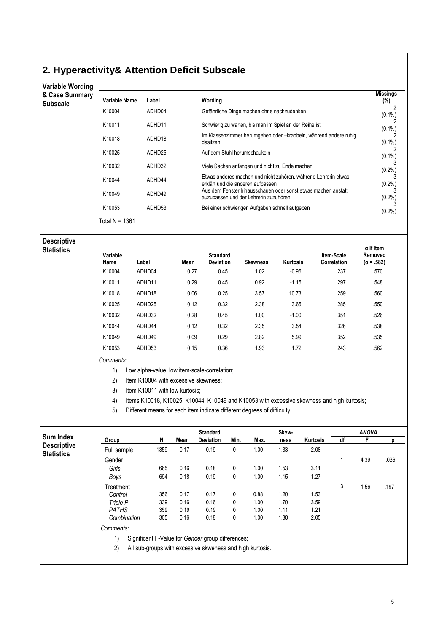## **2. Hyperactivity& Attention Deficit Subscale**

## Variable Wording

| & Case Summarv |  |  |  |  |
|----------------|--|--|--|--|
|----------------|--|--|--|--|

| & Case Summary<br>Subscale | Variable Name  | Label  | Wording                                                                                                | <b>Missings</b><br>$(\%)$ |
|----------------------------|----------------|--------|--------------------------------------------------------------------------------------------------------|---------------------------|
|                            | K10004         | ADHD04 | Gefährliche Dinge machen ohne nachzudenken                                                             | $(0.1\%)$                 |
|                            | K10011         | ADHD11 | Schwierig zu warten, bis man im Spiel an der Reihe ist                                                 | $(0.1\%)$                 |
|                            | K10018         | ADHD18 | Im Klassenzimmer herumgehen oder -krabbeln, während andere ruhig<br>dasitzen                           | $(0.1\%)$                 |
|                            | K10025         | ADHD25 | Auf dem Stuhl herumschaukeln                                                                           | $(0.1\%)$                 |
|                            | K10032         | ADHD32 | Viele Sachen anfangen und nicht zu Ende machen                                                         | $(0.2\%)$                 |
|                            | K10044         | ADHD44 | Etwas anderes machen und nicht zuhören, während Lehrerin etwas<br>erklärt und die anderen aufpassen    | $(0.2\%)$                 |
|                            | K10049         | ADHD49 | Aus dem Fenster hinausschauen oder sonst etwas machen anstatt<br>auzupassen und der Lehrerin zuzuhören | $(0.2\%)$                 |
|                            | K10053         | ADHD53 | Bei einer schwierigen Aufgaben schnell aufgeben                                                        | $(0.2\%)$                 |
|                            | Total N = 1361 |        |                                                                                                        |                           |

### Descriptive **Statistics**

| Variable<br>Name | Label  | Mean | <b>Standard</b><br><b>Deviation</b> | <b>Skewness</b> | Kurtosis | Item-Scale<br>Correlation | $\alpha$ If Item<br>Removed<br>$(\alpha = .582)$ |
|------------------|--------|------|-------------------------------------|-----------------|----------|---------------------------|--------------------------------------------------|
| K10004           | ADHD04 | 0.27 | 0.45                                | 1.02            | $-0.96$  | .237                      | .570                                             |
| K10011           | ADHD11 | 0.29 | 0.45                                | 0.92            | $-1.15$  | .297                      | .548                                             |
| K10018           | ADHD18 | 0.06 | 0.25                                | 3.57            | 10.73    | .259                      | .560                                             |
| K10025           | ADHD25 | 0.12 | 0.32                                | 2.38            | 3.65     | .285                      | .550                                             |
| K10032           | ADHD32 | 0.28 | 0.45                                | 1.00            | $-1.00$  | .351                      | .526                                             |
| K10044           | ADHD44 | 0.12 | 0.32                                | 2.35            | 3.54     | .326                      | .538                                             |
| K10049           | ADHD49 | 0.09 | 0.29                                | 2.82            | 5.99     | .352                      | .535                                             |
| K10053           | ADHD53 | 0.15 | 0.36                                | 1.93            | 1.72     | .243                      | .562                                             |

#### Comments:

1) Low alpha-value, low item-scale-correlation;

2) Item K10004 with excessive skewness;

3) Item K10011 with low kurtosis;

4) Items K10018, K10025, K10044, K10049 and K10053 with excessive skewness and high kurtosis;

5) Different means for each item indicate different degrees of difficulty

|                                         |              |      |      | <b>Standard</b>  |      | Skew- |      |          | <b>ANOVA</b> |      |      |
|-----------------------------------------|--------------|------|------|------------------|------|-------|------|----------|--------------|------|------|
| Sum Index                               | Group        | N    | Mean | <b>Deviation</b> | Min. | Max.  | ness | Kurtosis | df           |      |      |
| <b>Descriptive</b><br><b>Statistics</b> | Full sample  | 1359 | 0.17 | 0.19             | 0    | 1.00  | 1.33 | 2.08     |              |      |      |
|                                         | Gender       |      |      |                  |      |       |      |          |              | 4.39 | .036 |
|                                         | Girls        | 665  | 0.16 | 0.18             | 0    | 1.00  | 1.53 | 3.11     |              |      |      |
|                                         | Boys         | 694  | 0.18 | 0.19             | 0    | 1.00  | 1.15 | 1.27     |              |      |      |
|                                         | Treatment    |      |      |                  |      |       |      |          | 3            | 1.56 | .197 |
|                                         | Control      | 356  | 0.17 | 0.17             | 0    | 0.88  | 1.20 | 1.53     |              |      |      |
|                                         | Triple P     | 339  | 0.16 | 0.16             | 0    | 1.00  | 1.70 | 3.59     |              |      |      |
|                                         | <b>PATHS</b> | 359  | 0.19 | 0.19             | 0    | 1.00  | 1.11 | 1.21     |              |      |      |
|                                         | Combination  | 305  | 0.16 | 0.18             | 0    | 1.00  | 1.30 | 2.05     |              |      |      |
|                                         | Comments:    |      |      |                  |      |       |      |          |              |      |      |

1) Significant F-Value for Gender group differences;

2) All sub-groups with excessive skweness and high kurtosis.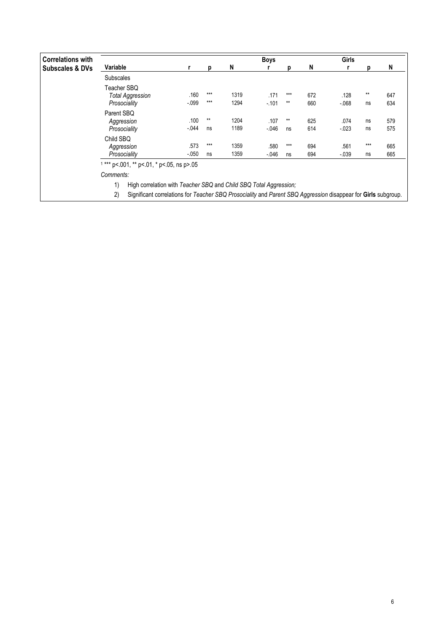| <b>Correlations with</b>   |                                                        |                  |                |              | <b>Boys</b>      |              |            |                  | <b>Girls</b> |            |  |
|----------------------------|--------------------------------------------------------|------------------|----------------|--------------|------------------|--------------|------------|------------------|--------------|------------|--|
| <b>Subscales &amp; DVs</b> | Variable                                               |                  | D              | N            |                  | D            | N          |                  |              | N          |  |
|                            | <b>Subscales</b>                                       |                  |                |              |                  |              |            |                  |              |            |  |
|                            | Teacher SBQ<br><b>Total Aggression</b><br>Prosociality | .160<br>$-0.999$ | $***$<br>$***$ | 1319<br>1294 | .171<br>$-101$   | ***<br>$***$ | 672<br>660 | .128<br>$-068$   | $**$<br>ns   | 647<br>634 |  |
|                            | Parent SBQ<br>Aggression<br>Prosociality               | .100<br>$-.044$  | $**$<br>ns     | 1204<br>1189 | .107<br>$-0.046$ | $***$<br>ns  | 625<br>614 | .074<br>$-0.023$ | ns<br>ns     | 579<br>575 |  |
|                            | Child SBQ<br>Aggression<br>Prosociality                | .573<br>$-0.050$ | ***<br>ns      | 1359<br>1359 | .580<br>$-046$   | ***<br>ns    | 694<br>694 | .561<br>$-039$   | $***$<br>ns  | 665<br>665 |  |
|                            | *** p<.001, ** p<.01, * p<.05, ns p>.05<br>Comments:   |                  |                |              |                  |              |            |                  |              |            |  |

1) High correlation with Teacher SBQ and Child SBQ Total Aggression;

2) Significant correlations for Teacher SBQ Prosociality and Parent SBQ Aggression disappear for Girls subgroup.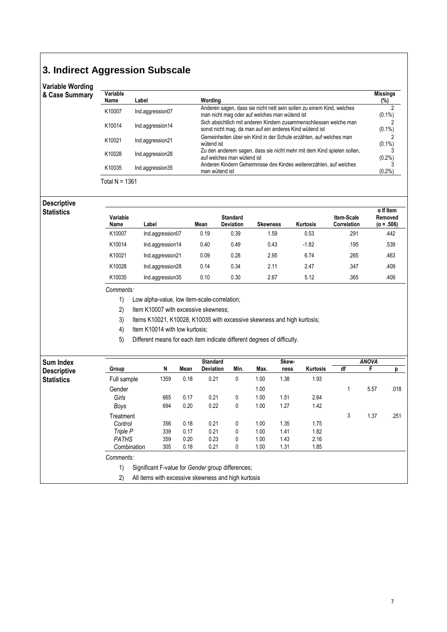## **3. Indirect Aggression Subscale**

| <b>Variable Wording</b> |                  |                  |                                                                                                                               |                        |
|-------------------------|------------------|------------------|-------------------------------------------------------------------------------------------------------------------------------|------------------------|
| & Case Summary          | Variable<br>Name | Label            | Wording                                                                                                                       | <b>Missings</b><br>(%) |
|                         | K10007           | Ind.aggression07 | Anderen sagen, dass sie nicht nett sein sollen zu einem Kind, welches<br>man nicht mag oder auf welches man wütend ist        | $(0.1\%)$              |
|                         | K10014           | Ind.aggression14 | Sich absichtlich mit anderen Kindern zusammenschliessen welche man<br>sonst nicht mag, da man auf ein anderes Kind wütend ist | $(0.1\%)$              |
|                         | K10021           | Ind.aggression21 | Gemeinheiten über ein Kind in der Schule erzählen, auf welches man<br>wütend ist                                              | $(0.1\%)$              |
|                         | K10028           | Ind.aggression28 | Zu den anderern sagen, dass sie nicht mehr mit dem Kind spielen sollen,<br>auf welches man wütend ist                         | $(0.2\%)$              |
|                         | K10035           | Ind.aggression35 | Anderen Kindern Geheimnisse des Kindes weitererzählen, auf welches<br>man wütend ist                                          | $(0.2\%)$              |

Total N = 1361

### Descriptive **Statistics**

| Variable<br>Name | Label            | Mean | <b>Standard</b><br><b>Deviation</b> | <b>Skewness</b> | Kurtosis | Item-Scale<br>Correlation | $\alpha$ If Item<br>Removed<br>$(\alpha = .506)$ |
|------------------|------------------|------|-------------------------------------|-----------------|----------|---------------------------|--------------------------------------------------|
| K10007           | Ind.aggression07 | 0.19 | 0.39                                | 1.59            | 0.53     | .291                      | .442                                             |
| K10014           | Ind.aggression14 | 0.40 | 0.49                                | 0.43            | $-1.82$  | .195                      | .539                                             |
| K10021           | Ind.aggression21 | 0.09 | 0.28                                | 2.95            | 6.74     | .265                      | .463                                             |
| K10028           | Ind.aggression28 | 0.14 | 0.34                                | 2.11            | 2.47     | .347                      | .409                                             |
| K10035           | Ind.aggression35 | 0.10 | 0.30                                | 2.67            | 5.12     | .365                      | .409                                             |

#### Comments:

1) Low alpha-value, low item-scale-correlation;

2) Item K10007 with excessive skewness;

3) Items K10021, K10028, K10035 with excessive skewness and high kurtosis;

4) Item K10014 with low kurtosis;

5) Different means for each item indicate different degrees of difficulty.

| <b>Sum Index</b>   |              |      |      | <b>Standard</b>                                     |      |      | Skew- |          |    | <b>ANOVA</b> | p<br>.018<br>.251 |
|--------------------|--------------|------|------|-----------------------------------------------------|------|------|-------|----------|----|--------------|-------------------|
| <b>Descriptive</b> | Group        | N    | Mean | <b>Deviation</b>                                    | Min. | Max. | ness  | Kurtosis | df | F            |                   |
| <b>Statistics</b>  | Full sample  | 1359 | 0.18 | 0.21                                                | 0    | 1.00 | 1.38  | 1.93     |    |              |                   |
|                    | Gender       |      |      |                                                     |      | 1.00 |       |          |    | 5.57         |                   |
|                    | Girls        | 665  | 0.17 | 0.21                                                | 0    | 1.00 | 1.51  | 2.64     |    |              |                   |
|                    | Boys         | 694  | 0.20 | 0.22                                                | 0    | 1.00 | 1.27  | 1.42     |    |              |                   |
|                    | Treatment    |      |      |                                                     |      |      |       |          | 3  | 1.37         |                   |
|                    | Control      | 356  | 0.18 | 0.21                                                | 0    | 1.00 | 1.35  | 1.75     |    |              |                   |
|                    | Triple P     | 339  | 0.17 | 0.21                                                | 0    | 1.00 | 1.41  | 1.82     |    |              |                   |
|                    | <b>PATHS</b> | 359  | 0.20 | 0.23                                                | 0    | 1.00 | 1.43  | 2.16     |    |              |                   |
|                    | Combination  | 305  | 0.18 | 0.21                                                | 0    | 1.00 | 1.31  | 1.85     |    |              |                   |
|                    | Comments:    |      |      |                                                     |      |      |       |          |    |              |                   |
|                    | 1)           |      |      | Significant F-value for Gender group differences;   |      |      |       |          |    |              |                   |
|                    | 2)           |      |      | All items with excessive skewness and high kurtosis |      |      |       |          |    |              |                   |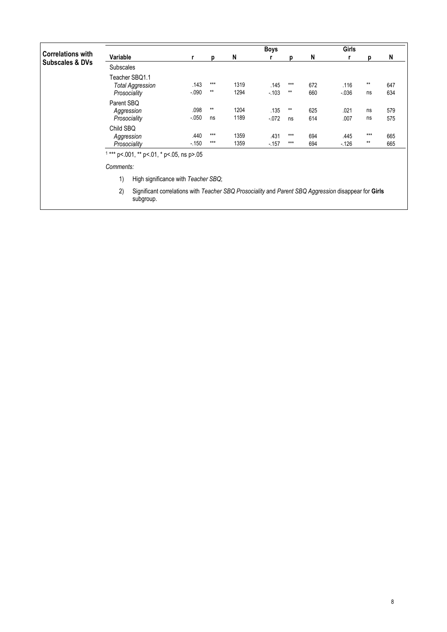|                            |                                                           |                  |                |              | Boys             |                |            | Girls           |               |            |
|----------------------------|-----------------------------------------------------------|------------------|----------------|--------------|------------------|----------------|------------|-----------------|---------------|------------|
| <b>Correlations with</b>   | Variable                                                  |                  | D              | N            |                  | D              | N          |                 | n             | N          |
| <b>Subscales &amp; DVs</b> | <b>Subscales</b>                                          |                  |                |              |                  |                |            |                 |               |            |
|                            | Teacher SBQ1.1<br><b>Total Aggression</b><br>Prosociality | .143<br>$-0.090$ | ***<br>$**$    | 1319<br>1294 | .145<br>$-103$   | $***$<br>$**$  | 672<br>660 | .116<br>$-0.36$ | $***$<br>ns   | 647<br>634 |
|                            | Parent SBQ<br>Aggression<br>Prosociality                  | .098<br>$-.050$  | $**$<br>ns     | 1204<br>1189 | .135<br>$-0.072$ | $**$<br>ns     | 625<br>614 | .021<br>.007    | ns<br>ns      | 579<br>575 |
|                            | Child SBQ<br>Aggression<br>Prosociality                   | .440<br>$-150$   | $***$<br>$***$ | 1359<br>1359 | .431<br>$-157$   | $***$<br>$***$ | 694<br>694 | .445<br>$-126$  | $***$<br>$**$ | 665<br>665 |
|                            | $1***$ p<.001, ** p<.01, * p<.05, ns p>.05                |                  |                |              |                  |                |            |                 |               |            |
|                            | Comments:                                                 |                  |                |              |                  |                |            |                 |               |            |
|                            | 1)<br>High significance with Teacher SBQ;                 |                  |                |              |                  |                |            |                 |               |            |

2) Significant correlations with Teacher SBQ Prosociality and Parent SBQ Aggression disappear for Girls subgroup.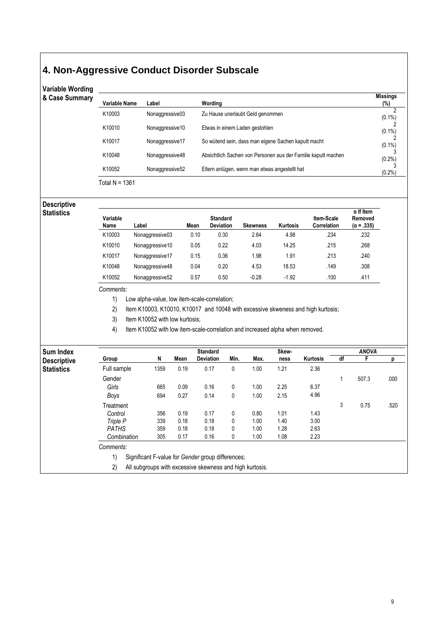## **4. Non-Aggressive Conduct Disorder Subscale**

| <b>Variable Wording</b><br>& Case Summary |               |                 |                                                               | <b>Missings</b> |
|-------------------------------------------|---------------|-----------------|---------------------------------------------------------------|-----------------|
|                                           | Variable Name | Label           | Wording                                                       | (%)             |
|                                           | K10003        | Nonaggressive03 | Zu Hause unerlaubt Geld genommen                              | ∩<br>$(0.1\%)$  |
|                                           | K10010        | Nonaggressive10 | Etwas in einem Laden gestohlen                                | $(0.1\%)$       |
|                                           | K10017        | Nonaggressive17 | So wütend sein, dass man eigene Sachen kaputt macht           | $(0.1\%)$       |
|                                           | K10048        | Nonaggressive48 | Absichtlich Sachen von Personen aus der Familie kaputt machen | (0.2%)          |
|                                           | K10052        | Nonaggressive52 | Eltern anlügen, wenn man etwas angestellt hat                 | $(0.2\%)$       |
|                                           | $\sqrt{2}$    |                 |                                                               |                 |

Total N = 1361

Descriptive Statistics

| Variable<br>Name | _abel           | Mean | <b>Standard</b><br><b>Deviation</b> | <b>Skewness</b> | Kurtosis | <b>Item-Scale</b><br>Correlation | $\alpha$ If Item<br>Removed<br>$(\alpha = .335)$ |
|------------------|-----------------|------|-------------------------------------|-----------------|----------|----------------------------------|--------------------------------------------------|
| K10003           | Nonaggressive03 | 0.10 | 0.30                                | 2.64            | 4.98     | .234                             | .232                                             |
| K10010           | Nonaggressive10 | 0.05 | 0.22                                | 4.03            | 14.25    | .215                             | .268                                             |
| K10017           | Nonaggressive17 | 0.15 | 0.36                                | 1.98            | 1.91     | .213                             | .240                                             |
| K10048           | Nonaggressive48 | 0.04 | 0.20                                | 4.53            | 18.53    | .149                             | .308                                             |
| K10052           | Nonaggressive52 | 0.57 | 0.50                                | $-0.28$         | $-1.92$  | .100                             | .411                                             |

#### Comments:

1) Low alpha-value, low item-scale-correlation;

2) Item K10003, K10010, K10017 and 10048 with excessive skweness and high kurtosis;

3) Item K10052 with low kurtosis;

4) Item K10052 with low item-scale-correlation and increased alpha when removed.

| <b>Sum Index</b>   |              |      |      | <b>Standard</b>                                          |      |      | Skew- |                 |    | <b>ANOVA</b> |      |
|--------------------|--------------|------|------|----------------------------------------------------------|------|------|-------|-----------------|----|--------------|------|
| <b>Descriptive</b> | Group        | N    | Mean | <b>Deviation</b>                                         | Min. | Max. | ness  | <b>Kurtosis</b> | df |              | D    |
| <b>Statistics</b>  | Full sample  | 1359 | 0.19 | 0.17                                                     | 0    | 1.00 | 1.21  | 2.36            |    |              |      |
|                    | Gender       |      |      |                                                          |      |      |       |                 |    | 507.3        | .000 |
|                    | Girls        | 665  | 0.09 | 0.16                                                     | 0    | 1.00 | 2.25  | 6.37            |    |              |      |
|                    | Boys         | 694  | 0.27 | 0.14                                                     | 0    | 1.00 | 2.15  | 4.96            |    |              |      |
|                    | Treatment    |      |      |                                                          |      |      |       |                 | 3  | 0.75         | .520 |
|                    | Control      | 356  | 0.19 | 0.17                                                     | 0    | 0.80 | 1.01  | 1.43            |    |              |      |
|                    | Triple P     | 339  | 0.18 | 0.18                                                     | 0    | 1.00 | 1.40  | 3.00            |    |              |      |
|                    | <b>PATHS</b> | 359  | 0.18 | 0.18                                                     | 0    | 1.00 | 1.28  | 2.63            |    |              |      |
|                    | Combination  | 305  | 0.17 | 0.16                                                     | 0    | 1.00 | 1.08  | 2.23            |    |              |      |
|                    | Comments:    |      |      |                                                          |      |      |       |                 |    |              |      |
|                    | 1)           |      |      | Significant F-value for Gender group differences;        |      |      |       |                 |    |              |      |
|                    | 2)           |      |      | All subgroups with excessive skewness and high kurtosis. |      |      |       |                 |    |              |      |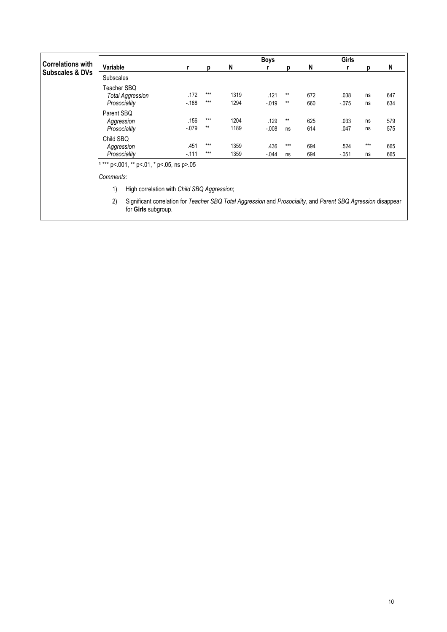|                            |                                                        |                 |              |              | <b>Boys</b>      |               |            | Girls          |                                     |            |
|----------------------------|--------------------------------------------------------|-----------------|--------------|--------------|------------------|---------------|------------|----------------|-------------------------------------|------------|
| <b>Correlations with</b>   | Variable                                               |                 | р            | N            |                  | D             | N          |                |                                     | N          |
| <b>Subscales &amp; DVs</b> | <b>Subscales</b>                                       |                 |              |              |                  |               |            |                | ns<br>ns<br>ns<br>ns<br>$***$<br>ns |            |
|                            | Teacher SBQ<br><b>Total Aggression</b><br>Prosociality | .172<br>$-188$  | $***$<br>*** | 1319<br>1294 | .121<br>$-0.019$ | $***$<br>$**$ | 672<br>660 | .038<br>$-075$ |                                     | 647<br>634 |
|                            | Parent SBQ<br>Aggression                               | .156            | ***          | 1204         | .129             | $***$         | 625        | .033           |                                     | 579        |
|                            | Prosociality                                           | $-.079$         | $**$         | 1189         | $-0.08$          | ns            | 614        | .047           |                                     | 575        |
|                            | Child SBQ<br>Aggression<br>Prosociality                | .451<br>$-.111$ | ***<br>***   | 1359<br>1359 | .436<br>$-.044$  | $***$<br>ns   | 694<br>694 | .524<br>$-051$ |                                     | 665<br>665 |

Comments:

1) High correlation with Child SBQ Aggression;

2) Significant correlation for Teacher SBQ Total Aggression and Prosociality, and Parent SBQ Agression disappear for Girls subgroup.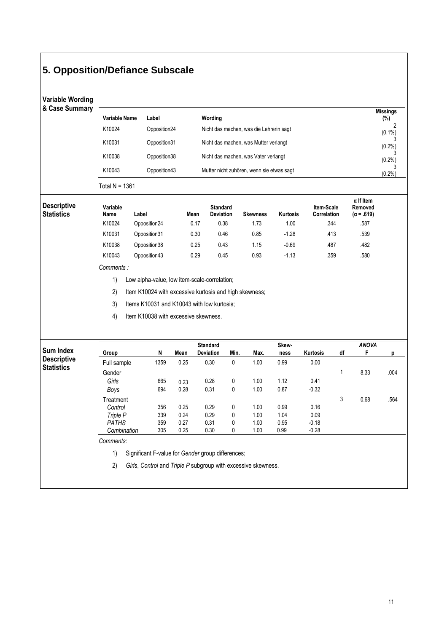## **5. Opposition/Defiance Subscale**

## Variable Wording

& Case Summ

|               |               |                                           | <b>Missings</b> |
|---------------|---------------|-------------------------------------------|-----------------|
| Variable Name | Label         | Wording                                   | $(\%)$          |
| K10024        | Opposition24  | Nicht das machen, was die Lehrerin sagt   | $(0.1\%)$       |
| K10031        | Opposition 31 | Nicht das machen, was Mutter verlangt     | $(0.2\%)$       |
| K10038        | Opposition38  | Nicht das machen, was Vater verlangt      | $(0.2\%)$       |
| K10043        | Opposition43  | Mutter nicht zuhören, wenn sie etwas sagt | $(0.2\%)$       |

| <b>Descriptive</b><br><b>Statistics</b> | Variable<br>Name | Label         | Mean | <b>Standard</b><br><b>Deviation</b> | <b>Skewness</b> | Kurtosis | <b>Item-Scale</b><br>Correlation | $\alpha$ If Item<br>Removed<br>$(\alpha = .619)$ |
|-----------------------------------------|------------------|---------------|------|-------------------------------------|-----------------|----------|----------------------------------|--------------------------------------------------|
|                                         | K10024           | Opposition24  | 0.17 | 0.38                                | 1.73            | 1.00     | .344                             | .587                                             |
|                                         | K10031           | Opposition 31 | 0.30 | 0.46                                | 0.85            | $-1.28$  | .413                             | .539                                             |
|                                         | K10038           | Opposition38  | 0.25 | 0.43                                | 1.15            | $-0.69$  | .487                             | .482                                             |
|                                         | K10043           | Opposition43  | 0.29 | 0.45                                | 0.93            | $-1.13$  | .359                             | .580                                             |

#### Comments :

1) Low alpha-value, low item-scale-correlation;

2) Item K10024 with excessive kurtosis and high skewness;

- 3) Items K10031 and K10043 with low kurtosis;
- 4) Item K10038 with excessive skewness.

|                    |              |      |      | <b>Standard</b>  |      |      | Skew- |                 |    | <b>ANOVA</b> |      |
|--------------------|--------------|------|------|------------------|------|------|-------|-----------------|----|--------------|------|
| Sum Index          | Group        | N    | Mean | <b>Deviation</b> | Min. | Max. | ness  | <b>Kurtosis</b> | df |              | р    |
| <b>Descriptive</b> | Full sample  | 1359 | 0.25 | 0.30             | 0    | 1.00 | 0.99  | 0.00            |    |              |      |
| <b>Statistics</b>  | Gender       |      |      |                  |      |      |       |                 |    | 8.33         | .004 |
|                    | Girls        | 665  | 0.23 | 0.28             | 0    | 1.00 | 1.12  | 0.41            |    |              |      |
|                    | Boys         | 694  | 0.28 | 0.31             | 0    | 1.00 | 0.87  | $-0.32$         |    |              |      |
|                    | Treatment    |      |      |                  |      |      |       |                 | 3  | 0.68         | .564 |
|                    | Control      | 356  | 0.25 | 0.29             | 0    | 1.00 | 0.99  | 0.16            |    |              |      |
|                    | Triple P     | 339  | 0.24 | 0.29             | 0    | 1.00 | 1.04  | 0.09            |    |              |      |
|                    | <b>PATHS</b> | 359  | 0.27 | 0.31             | 0    | 1.00 | 0.95  | $-0.18$         |    |              |      |
|                    | Combination  | 305  | 0.25 | 0.30             | 0    | 1.00 | 0.99  | $-0.28$         |    |              |      |
|                    | Comments:    |      |      |                  |      |      |       |                 |    |              |      |
|                    |              |      |      |                  |      |      |       |                 |    |              |      |

1) Significant F-value for Gender group differences;

2) Girls, Control and Triple P subgroup with excessive skewness.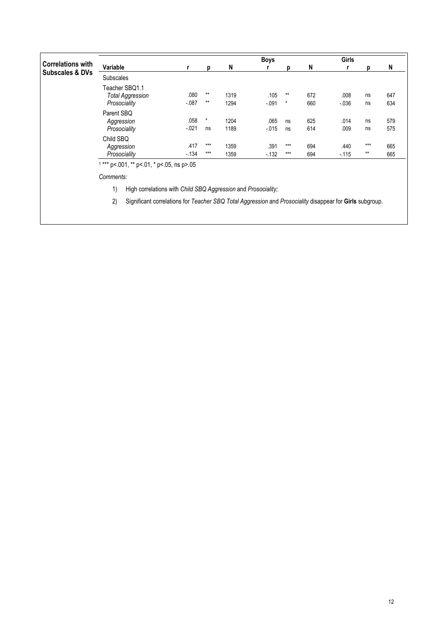|                            |                                                           |                |                |              | <b>Boys</b>     |                |            | Girls            |                |            |
|----------------------------|-----------------------------------------------------------|----------------|----------------|--------------|-----------------|----------------|------------|------------------|----------------|------------|
| <b>Correlations with</b>   | Variable                                                  |                | D              | N            |                 | n              | N          |                  |                | N          |
| <b>Subscales &amp; DVs</b> | <b>Subscales</b>                                          |                |                |              |                 |                |            |                  |                |            |
|                            | Teacher SBQ1.1<br><b>Total Aggression</b><br>Prosociality | .080<br>$-087$ | $***$<br>$***$ | 1319<br>1294 | .105<br>$-.091$ | $**$<br>*      | 672<br>660 | .008<br>$-0.036$ | ns<br>ns       | 647<br>634 |
|                            | Parent SBQ<br>Aggression                                  | .058           | $\star$        | 1204         | .065            | ns             | 625        | .014             | ns             | 579        |
|                            | Prosociality                                              | $-0.021$       | ns             | 1189         | $-0.015$        | ns             | 614        | .009             | ns             | 575        |
|                            | Child SBQ<br>Aggression<br>Prosociality                   | .417<br>$-134$ | $***$<br>$***$ | 1359<br>1359 | .391<br>$-132$  | $***$<br>$***$ | 694<br>694 | .440<br>$-115$   | $***$<br>$***$ | 665<br>665 |
|                            | $1***$ p<.001, $**$ p<.01, $*$ p<.05, ns p>.05            |                |                |              |                 |                |            |                  |                |            |

Comments:

1) High correlations with Child SBQ Aggression and Prosociality;

2) Significant correlations for Teacher SBQ Total Aggression and Prosociality disappear for Girls subgroup.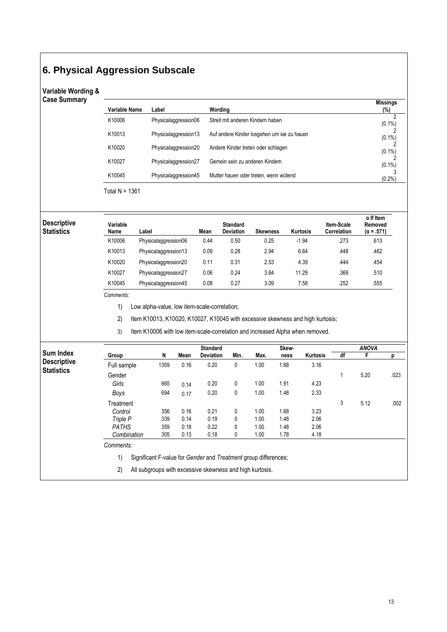# **6. Physical Aggression Subscale**

### Variable Wording & Case Summary

| Variable Name | Label                | Wording                                    | <b>Missings</b><br>(%) |
|---------------|----------------------|--------------------------------------------|------------------------|
| K10006        | Physicalaggression06 | Streit mit anderen Kindern haben           | C<br>$(0.1\%)$         |
| K10013        | Physicalaggression13 | Auf andere Kinder losgehen um sie zu hauen | $(0.1\%)$              |
| K10020        | Physicalaggression20 | Andere Kinder treten oder schlagen         | $(0.1\%)$              |
| K10027        | Physicalaggression27 | Gemein sein zu anderen Kindern             | $(0.1\%)$              |
| K10045        | Physicalaggression45 | Mutter hauen oder treten, wenn wütend      | $(0.2\%)$              |

Total N = 1361

Des  $\overline{\text{Sta}}$ 

| scriptive<br>atistics | Variable<br>Name | Label                | Mean | <b>Standard</b><br><b>Deviation</b> | <b>Skewness</b> | Kurtosis | <b>Item-Scale</b><br>Correlation | $\alpha$ If Item<br>Removed<br>$(\alpha = .571)$ |
|-----------------------|------------------|----------------------|------|-------------------------------------|-----------------|----------|----------------------------------|--------------------------------------------------|
|                       | K10006           | Physicalaggression06 | 0.44 | 0.50                                | 0.25            | $-1.94$  | .273                             | .613                                             |
|                       | K10013           | Physicalaggression13 | 0.09 | 0.28                                | 2.94            | 6.64     | .448                             | .462                                             |
|                       | K10020           | Physicalaggression20 | 0.11 | 0.31                                | 2.53            | 4.39     | .444                             | .454                                             |
|                       | K10027           | Physicalaggression27 | 0.06 | 0.24                                | 3.64            | 11.29    | .369                             | .510                                             |
|                       | K10045           | Physicalaggression45 | 0.08 | 0.27                                | 3.09            | 7.58     | .252                             | .555                                             |
|                       |                  |                      |      |                                     |                 |          |                                  |                                                  |

Comments:

1) Low alpha-value, low item-scale-correlation;

2) Item K10013, K10020, K10027, K10045 with excessive skewness and high kurtosis;

3) Item K10006 with low item-scale-correlation and increased Alpha when removed.

|                    |                                                                                                                                                                                                                                                                                                                                                                             |      |      | <b>Standard</b>  |      |      | Skew- |                 |    | <b>ANOVA</b> |      |
|--------------------|-----------------------------------------------------------------------------------------------------------------------------------------------------------------------------------------------------------------------------------------------------------------------------------------------------------------------------------------------------------------------------|------|------|------------------|------|------|-------|-----------------|----|--------------|------|
| <b>Sum Index</b>   | Group                                                                                                                                                                                                                                                                                                                                                                       | N    | Mean | <b>Deviation</b> | Min. | Max. | ness  | <b>Kurtosis</b> | df |              | р    |
| <b>Descriptive</b> | Full sample                                                                                                                                                                                                                                                                                                                                                                 | 1359 | 0.16 | 0.20             | 0    | 1.00 | 1.68  | 3.16            |    |              |      |
| <b>Statistics</b>  | Gender                                                                                                                                                                                                                                                                                                                                                                      |      |      |                  |      |      |       |                 |    | 5.20         | .023 |
|                    | Girls                                                                                                                                                                                                                                                                                                                                                                       | 665  | 0.14 | 0.20             | 0    | 1.00 | 1.91  | 4.23            |    |              |      |
|                    | Boys                                                                                                                                                                                                                                                                                                                                                                        | 694  | 0.17 | 0.20             | 0    | 1.00 | 1.48  | 2.33            |    |              |      |
|                    | Treatment                                                                                                                                                                                                                                                                                                                                                                   |      |      |                  |      |      |       |                 | 3  | 5.12         | .002 |
|                    | Control                                                                                                                                                                                                                                                                                                                                                                     | 356  | 0.16 | 0.21             | 0    | 1.00 | 1.68  | 3.23            |    |              |      |
|                    | Triple P                                                                                                                                                                                                                                                                                                                                                                    | 339  | 0.14 | 0.19             | 0    | 1.00 | 1.48  | 2.06            |    |              |      |
|                    | <b>PATHS</b>                                                                                                                                                                                                                                                                                                                                                                | 359  | 0.18 | 0.22             | 0    | 1.00 | 1.48  | 2.06            |    |              |      |
|                    | Combination                                                                                                                                                                                                                                                                                                                                                                 | 305  | 0.13 | 0.18             | 0    | 1.00 | 1.78  | 4.18            |    |              |      |
|                    | Comments:                                                                                                                                                                                                                                                                                                                                                                   |      |      |                  |      |      |       |                 |    |              |      |
|                    | 1)<br>Significant F-value for Gender and Treatment group differences;<br>$\mathbf{r}$ , and $\mathbf{r}$ , and $\mathbf{r}$ , and $\mathbf{r}$ , and $\mathbf{r}$ , and $\mathbf{r}$ , and $\mathbf{r}$ , and $\mathbf{r}$ , and $\mathbf{r}$ , and $\mathbf{r}$ , and $\mathbf{r}$ , and $\mathbf{r}$ , and $\mathbf{r}$ , and $\mathbf{r}$ , and $\mathbf{r}$ ,<br>$\sim$ |      |      |                  |      |      |       |                 |    |              |      |

2) All subgroups with excessive skewness and high kurtosis.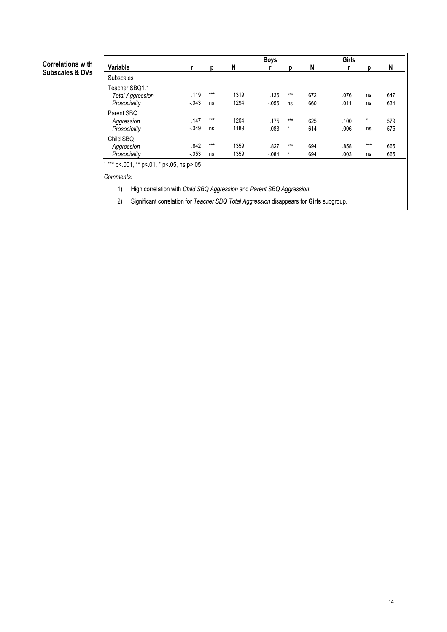|                            |                                                           |                 |             |              | <b>Boys</b>      |                |            | <b>Girls</b> |               |            |
|----------------------------|-----------------------------------------------------------|-----------------|-------------|--------------|------------------|----------------|------------|--------------|---------------|------------|
| <b>Correlations with</b>   | Variable                                                  | r               | D           | N            |                  | D              | N          |              | n             | N          |
| <b>Subscales &amp; DVs</b> | <b>Subscales</b>                                          |                 |             |              |                  |                |            |              |               |            |
|                            | Teacher SBQ1.1<br><b>Total Aggression</b><br>Prosociality | .119<br>$-043$  | $***$<br>ns | 1319<br>1294 | .136<br>$-0.056$ | ***<br>ns      | 672<br>660 | .076<br>.011 | ns<br>ns      | 647<br>634 |
|                            | Parent SBQ<br>Aggression<br>Prosociality                  | .147<br>$-0.49$ | $***$<br>ns | 1204<br>1189 | .175<br>$-.083$  | ***<br>$\star$ | 625<br>614 | .100<br>.006 | $\star$<br>ns | 579<br>575 |
|                            | Child SBQ<br>Aggression<br>Prosociality                   | .842<br>$-053$  | $***$<br>ns | 1359<br>1359 | .827<br>$-.084$  | ***<br>$\star$ | 694<br>694 | .858<br>.003 | $***$<br>ns   | 665<br>665 |
|                            | $1***$ p<.001, ** p<.01, * p<.05, ns p>.05<br>Comments:   |                 |             |              |                  |                |            |              |               |            |

1) High correlation with Child SBQ Aggression and Parent SBQ Aggression;

2) Significant correlation for Teacher SBQ Total Aggression disappears for Girls subgroup.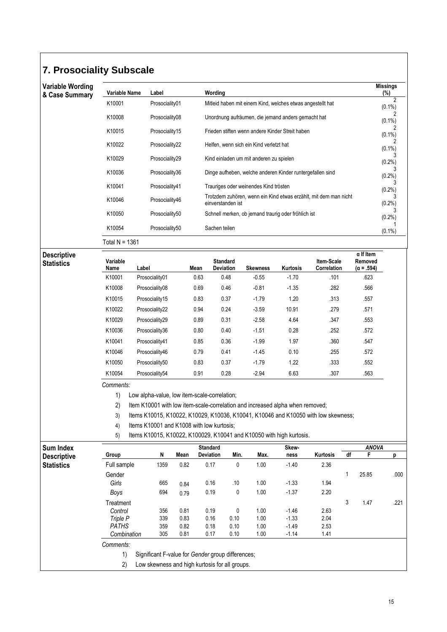## **7. Prosociality Subscale**

| Variable Wording<br>& Case Summary | Variable Name | Label          | Wording                                                                               | <b>Missings</b><br>(%) |
|------------------------------------|---------------|----------------|---------------------------------------------------------------------------------------|------------------------|
|                                    | K10001        | Prosociality01 | Mitleid haben mit einem Kind, welches etwas angestellt hat                            | 2<br>$(0.1\%)$         |
|                                    | K10008        | Prosociality08 | Unordnung aufräumen, die jemand anders gemacht hat                                    | $(0.1\%)$              |
|                                    | K10015        | Prosociality15 | Frieden stiften wenn andere Kinder Streit haben                                       | $(0.1\%)$              |
|                                    | K10022        | Prosociality22 | Helfen, wenn sich ein Kind verletzt hat                                               | $(0.1\%)$              |
|                                    | K10029        | Prosociality29 | Kind einladen um mit anderen zu spielen                                               | $(0.2\%)$              |
|                                    | K10036        | Prosociality36 | Dinge aufheben, welche anderen Kinder runtergefallen sind                             | $(0.2\%)$              |
|                                    | K10041        | Prosociality41 | Trauriges oder weinendes Kind trösten                                                 | $(0.2\%)$              |
|                                    | K10046        | Prosociality46 | Trotzdem zuhören, wenn ein Kind etwas erzählt, mit dem man nicht<br>einverstanden ist | $(0.2\%)$              |
|                                    | K10050        | Prosociality50 | Schnell merken, ob jemand traurig oder fröhlich ist                                   | (0.2%                  |
|                                    | K10054        | Prosociality50 | Sachen teilen                                                                         | $(0.1\%)$              |

Total N = 1361

**Descriptive** 

| <b>Descriptive</b><br>Statistics | Variable<br>Name | Label          | Mean | <b>Standard</b><br><b>Deviation</b> | <b>Skewness</b> | Kurtosis | Item-Scale<br>Correlation | $\alpha$ If Item<br>Removed<br>$(\alpha = .594)$ |
|----------------------------------|------------------|----------------|------|-------------------------------------|-----------------|----------|---------------------------|--------------------------------------------------|
|                                  | K10001           | Prosociality01 | 0.63 | 0.48                                | $-0.55$         | $-1.70$  | .101                      | .623                                             |
|                                  | K10008           | Prosociality08 | 0.69 | 0.46                                | $-0.81$         | $-1.35$  | .282                      | .566                                             |
|                                  | K10015           | Prosociality15 | 0.83 | 0.37                                | $-1.79$         | 1.20     | .313                      | .557                                             |
|                                  | K10022           | Prosociality22 | 0.94 | 0.24                                | $-3.59$         | 10.91    | .279                      | .571                                             |
|                                  | K10029           | Prosociality29 | 0.89 | 0.31                                | $-2.58$         | 4.64     | .347                      | .553                                             |
|                                  | K10036           | Prosociality36 | 0.80 | 0.40                                | $-1.51$         | 0.28     | .252                      | .572                                             |
|                                  | K10041           | Prosociality41 | 0.85 | 0.36                                | $-1.99$         | 1.97     | .360                      | .547                                             |
|                                  | K10046           | Prosociality46 | 0.79 | 0.41                                | $-1.45$         | 0.10     | .255                      | .572                                             |
|                                  | K10050           | Prosociality50 | 0.83 | 0.37                                | $-1.79$         | 1.22     | .333                      | .552                                             |
|                                  | K10054           | Prosociality54 | 0.91 | 0.28                                | $-2.94$         | 6.63     | .307                      | .563                                             |

Comments:

1) Low alpha-value, low item-scale-correlation;

2) Item K10001 with low item-scale-correlation and increased alpha when removed;

3) Items K10015, K10022, K10029, K10036, K10041, K10046 and K10050 with low skewness;

4) Items K10001 and K1008 with low kurtosis;

5) Items K10015, K10022, K100029, K10041 and K10050 with high kurtosis.

| <b>Sum Index</b>   |                                                         |      |      | <b>Standard</b>                                |      |      | <b>Skew</b> |          |    | <b>ANOVA</b> |      |  |
|--------------------|---------------------------------------------------------|------|------|------------------------------------------------|------|------|-------------|----------|----|--------------|------|--|
| <b>Descriptive</b> | Group                                                   | N    | Mean | <b>Deviation</b>                               | Min. | Max. | ness        | Kurtosis | df | F            | р    |  |
| <b>Statistics</b>  | Full sample                                             | 1359 | 0.82 | 0.17                                           | 0    | 1.00 | $-1.40$     | 2.36     |    |              |      |  |
|                    | Gender                                                  |      |      |                                                |      |      |             |          | 1  | 25.85        | .000 |  |
|                    | Girls                                                   | 665  | 0.84 | 0.16                                           | .10  | 1.00 | $-1.33$     | 1.94     |    |              |      |  |
|                    | Boys                                                    | 694  | 0.79 | 0.19                                           | 0    | 1.00 | $-1.37$     | 2.20     |    |              |      |  |
|                    | Treatment                                               |      |      |                                                |      |      |             |          | 3  | 1.47         | .221 |  |
|                    | Control                                                 | 356  | 0.81 | 0.19                                           | 0    | 1.00 | $-1.46$     | 2.63     |    |              |      |  |
|                    | Triple P                                                | 339  | 0.83 | 0.16                                           | 0.10 | 1.00 | $-1.33$     | 2.04     |    |              |      |  |
|                    | <b>PATHS</b>                                            | 359  | 0.82 | 0.18                                           | 0.10 | 1.00 | $-1.49$     | 2.53     |    |              |      |  |
|                    | Combination                                             | 305  | 0.81 | 0.17                                           | 0.10 | 1.00 | $-1.14$     | 1.41     |    |              |      |  |
|                    | Comments:                                               |      |      |                                                |      |      |             |          |    |              |      |  |
|                    | 1)<br>Significant F-value for Gender group differences; |      |      |                                                |      |      |             |          |    |              |      |  |
|                    | 2)                                                      |      |      | Low skewness and high kurtosis for all groups. |      |      |             |          |    |              |      |  |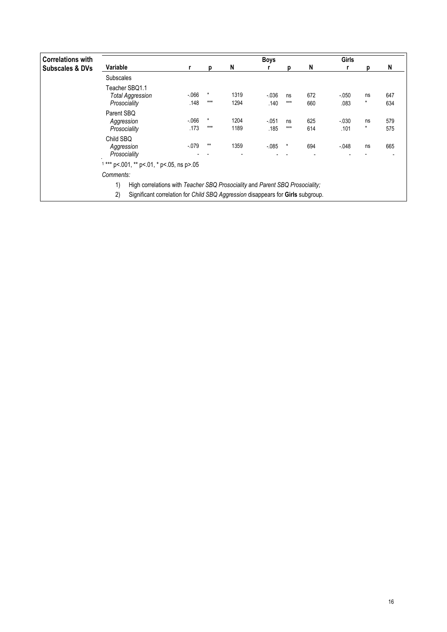| <b>Correlations with</b>   |                                                                                    |                                            |                  |              | <b>Boys</b>      |             |                       | Girls            |                                |            |  |  |
|----------------------------|------------------------------------------------------------------------------------|--------------------------------------------|------------------|--------------|------------------|-------------|-----------------------|------------------|--------------------------------|------------|--|--|
| <b>Subscales &amp; DVs</b> | Variable                                                                           | r                                          | D                | N            |                  | n           | N                     |                  |                                | N          |  |  |
|                            | <b>Subscales</b>                                                                   |                                            |                  |              |                  |             |                       |                  |                                |            |  |  |
|                            | Teacher SBQ1.1<br>Total Aggression<br>Prosociality                                 | $-066$<br>.148                             | $\star$<br>$***$ | 1319<br>1294 | $-0.036$<br>.140 | ns<br>$***$ | 672<br>660            | $-0.050$<br>.083 | ns<br>$\star$                  | 647<br>634 |  |  |
|                            | Parent SBQ<br>Aggression<br>Prosociality                                           | $-066$<br>.173                             | $\ast$<br>$***$  | 1204<br>1189 | $-0.051$<br>.185 | ns<br>$***$ | 625<br>614            | $-030$<br>.101   | ns<br>$\star$                  | 579<br>575 |  |  |
|                            | Child SBQ<br>Aggression<br>Prosociality                                            | $-079$                                     | $**$             | 1359         | $-0.085$         | ×           | 694<br>$\blacksquare$ | $-048$           | ns<br>$\overline{\phantom{a}}$ | 665        |  |  |
|                            | Comments:                                                                          | $1***$ p<.001, ** p<.01, * p<.05, ns p>.05 |                  |              |                  |             |                       |                  |                                |            |  |  |
|                            | High correlations with Teacher SBQ Prosociality and Parent SBQ Prosociality;<br>1) |                                            |                  |              |                  |             |                       |                  |                                |            |  |  |

2) Significant correlation for Child SBQ Aggression disappears for Girls subgroup.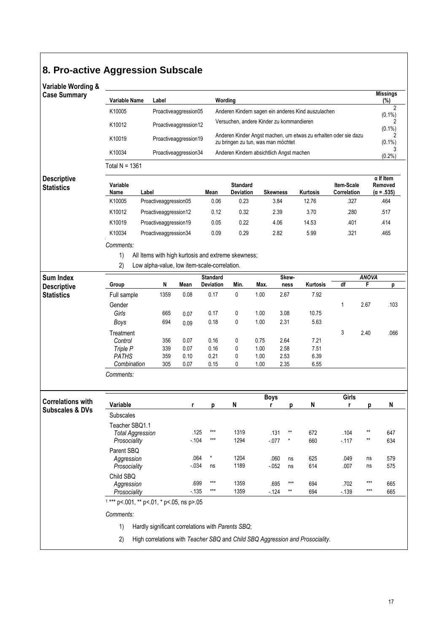# **8. Pro-active Aggression Subscale**

## Variable Wording &

|                                                                                                                                                           | (%)                          |
|-----------------------------------------------------------------------------------------------------------------------------------------------------------|------------------------------|
| K10005<br>Proactiveaggression05<br>Anderen Kindern sagen ein anderes Kind auszulachen                                                                     | 2                            |
| Versuchen, andere Kinder zu kommandieren<br>K10012<br>Proactiveaggression12                                                                               | $(0.1\%)$<br>2               |
| Anderen Kinder Angst machen, um etwas zu erhalten oder sie dazu<br>K10019<br>Proactiveaggression19<br>zu bringen zu tun, was man möchtet                  | $(0.1\%)$<br>2<br>$(0.1\%)$  |
| K10034<br>Proactiveaggression34<br>Anderen Kindern absichtlich Angst machen                                                                               | (0.2%                        |
| Total $N = 1361$                                                                                                                                          |                              |
| <b>Descriptive</b>                                                                                                                                        | $\alpha$ If Item             |
| Variable<br><b>Standard</b><br>Item-Scale<br><b>Statistics</b><br>Label<br><b>Skewness</b><br>Mean<br><b>Deviation</b><br>Kurtosis<br>Name<br>Correlation | Removed<br>$(\alpha = .535)$ |
| 0.23<br>K10005<br>Proactiveaggression05<br>0.06<br>3.84<br>12.76<br>.327                                                                                  | .464                         |
| K10012<br>3.70<br>.280<br>Proactiveaggression12<br>0.12<br>0.32<br>2.39                                                                                   | .517                         |
| K10019<br>.401<br>Proactiveaggression19<br>0.05<br>0.22<br>4.06<br>14.53                                                                                  | .414                         |
| .321<br>K10034<br>0.09<br>0.29<br>2.82<br>5.99<br>Proactiveaggression34                                                                                   | .465                         |
| Comments:                                                                                                                                                 |                              |
| 1)<br>All Items with high kurtosis and extreme skewness;                                                                                                  |                              |
| 2)<br>Low alpha-value, low item-scale-correlation.                                                                                                        |                              |
| <b>ANOVA</b><br><b>Sum Index</b><br><b>Standard</b><br>Skew-                                                                                              |                              |
| df<br>N<br>Mean<br>Deviation<br>Min.<br>Kurtosis<br>F<br>Group<br>Max.<br>ness<br><b>Descriptive</b>                                                      | р                            |
| <b>Statistics</b><br>1359<br>0.08<br>0.17<br>0<br>1.00<br>2.67<br>7.92<br>Full sample                                                                     |                              |
| Gender<br>1<br>2.67                                                                                                                                       | .103                         |
| Girls<br>665<br>0.17<br>0<br>1.00<br>3.08<br>10.75<br>0.07<br>694<br>0.18<br>1.00                                                                         |                              |
| 0<br>2.31<br>5.63<br><b>Boys</b><br>0.09                                                                                                                  |                              |
| 3<br>Treatment<br>2.40<br>Control<br>356<br>0.07<br>0.16<br>0<br>0.75<br>2.64<br>7.21                                                                     | .066                         |
| Triple P<br>339<br>0.07<br>0.16<br>0<br>1.00<br>2.58<br>7.51                                                                                              |                              |
| <b>PATHS</b><br>0.21<br>359<br>0.10<br>0<br>1.00<br>2.53<br>6.39                                                                                          |                              |
| 0.15<br>2.35<br>6.55<br>Combination<br>305<br>0.07<br>0<br>1.00                                                                                           |                              |
| Comments:                                                                                                                                                 |                              |
| Girls<br><b>Boys</b><br><b>Correlations with</b>                                                                                                          |                              |
| N<br>Variable<br>N<br>r<br>p<br>r<br>р<br>r<br>р<br><b>Subscales &amp; DVs</b>                                                                            | N                            |
| Subscales                                                                                                                                                 |                              |
| Teacher SBQ1.1<br>***<br>1319<br>$\star\star$<br>.125<br>$**$<br>672<br>.104<br>.131<br><b>Total Aggression</b>                                           | 647                          |
| $\star\star$<br>$-104$<br>***<br>1294<br>$-077$<br>$^{\star}$<br>660<br>$-117$<br>Prosociality                                                            | 634                          |
| Parent SBQ                                                                                                                                                |                              |
| .064<br>$^\star$<br>1204<br>.060<br>625<br>Aggression<br>.049<br>ns<br>ns<br>$-0.34$<br>1189                                                              | 579                          |
| Prosociality<br>$-052$<br>614<br>ns<br>.007<br>ns<br>ns<br>Child SBQ                                                                                      | 575                          |
| $***$<br>***<br>1359<br>.699<br>.695<br>***<br>694<br>.702<br>Aggression                                                                                  | 665                          |
| $***$<br>$***$<br>$-135$<br>1359<br>$^{\star\star}$<br>$-124$<br>694<br>$-139$<br>Prosociality                                                            | 665                          |
| $1***$ p<.001, ** p<.01, * p<.05, ns p>.05                                                                                                                |                              |
| Comments:                                                                                                                                                 |                              |
| Hardly significant correlations with Parents SBQ;<br>1)                                                                                                   |                              |

2) High correlations with Teacher SBQ and Child SBQ Aggression and Prosociality.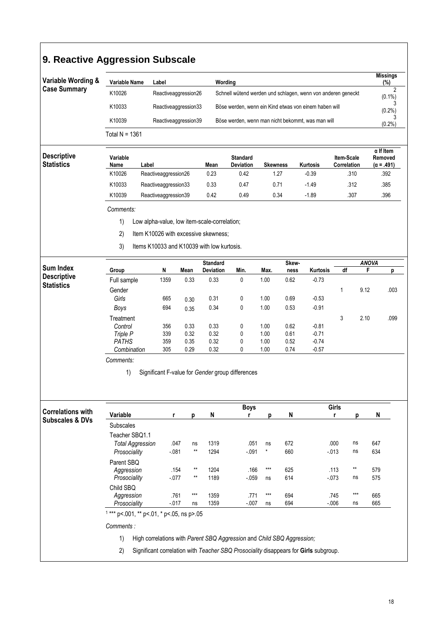| Variable Wording &                                     | <b>Variable Name</b>                               | Label                                            |            |                      | Wording                      |                                                              |                   |               |                    |                           |                   | <b>Missings</b><br>(%)       |  |  |
|--------------------------------------------------------|----------------------------------------------------|--------------------------------------------------|------------|----------------------|------------------------------|--------------------------------------------------------------|-------------------|---------------|--------------------|---------------------------|-------------------|------------------------------|--|--|
| <b>Case Summary</b>                                    | K10026                                             |                                                  |            | Reactiveaggression26 |                              | Schnell wütend werden und schlagen, wenn von anderen geneckt |                   |               |                    |                           |                   | $(0.1\%)$                    |  |  |
|                                                        | K10033                                             |                                                  |            | Reactiveaggression33 |                              | Böse werden, wenn ein Kind etwas von einem haben will        |                   |               |                    |                           |                   |                              |  |  |
|                                                        | K10039                                             |                                                  |            | Reactiveaggression39 |                              | Böse werden, wenn man nicht bekommt, was man will            |                   |               |                    |                           |                   | (0.2%)                       |  |  |
|                                                        | Total $N = 1361$                                   |                                                  |            |                      |                              |                                                              |                   |               |                    |                           |                   | (0.2%                        |  |  |
|                                                        |                                                    |                                                  |            |                      |                              |                                                              |                   |               |                    |                           |                   | $\alpha$ If Item             |  |  |
| <b>Descriptive</b><br><b>Statistics</b>                | Variable<br>Name                                   | Label                                            |            |                      | Mean                         | <b>Standard</b><br>Deviation                                 | <b>Skewness</b>   |               | Kurtosis           | Item-Scale<br>Correlation |                   | Removed<br>$(\alpha = .491)$ |  |  |
|                                                        | K10026                                             | Reactiveaggression26                             |            |                      | 0.23                         | 0.42                                                         | 1.27              |               | $-0.39$            |                           | .310              | .392                         |  |  |
|                                                        | K10033                                             | Reactiveaggression33                             |            |                      | 0.33                         | 0.47                                                         | 0.71              |               | $-1.49$            |                           | .312              | .385                         |  |  |
|                                                        | K10039                                             | Reactiveaggression39                             |            |                      | 0.42                         | 0.49                                                         | 0.34              |               | $-1.89$            |                           | .307              | .396                         |  |  |
|                                                        | Comments:                                          |                                                  |            |                      |                              |                                                              |                   |               |                    |                           |                   |                              |  |  |
|                                                        | 1)<br>Low alpha-value, low item-scale-correlation; |                                                  |            |                      |                              |                                                              |                   |               |                    |                           |                   |                              |  |  |
|                                                        | 2)<br>Item K10026 with excessive skewness;         |                                                  |            |                      |                              |                                                              |                   |               |                    |                           |                   |                              |  |  |
|                                                        |                                                    | 3)<br>Items K10033 and K10039 with low kurtosis. |            |                      |                              |                                                              |                   |               |                    |                           |                   |                              |  |  |
|                                                        |                                                    |                                                  |            |                      |                              |                                                              |                   |               |                    |                           |                   |                              |  |  |
| <b>Sum Index</b>                                       | Group                                              |                                                  |            | N<br>Mean            | <b>Standard</b><br>Deviation | Min.                                                         | Max.              | Skew-<br>ness | Kurtosis           | df                        | <b>ANOVA</b><br>F | р                            |  |  |
| <b>Descriptive</b>                                     | Full sample                                        |                                                  | 1359       | 0.33                 | 0.33                         | 0                                                            | 1.00              | 0.62          | $-0.73$            |                           |                   |                              |  |  |
| <b>Statistics</b>                                      | Gender                                             |                                                  |            |                      |                              |                                                              |                   |               |                    | 1                         | 9.12              | .003                         |  |  |
|                                                        | Girls                                              |                                                  | 665        | 0.30                 | 0.31                         | 0                                                            | 1.00              | 0.69          | $-0.53$            |                           |                   |                              |  |  |
|                                                        | <b>Boys</b>                                        |                                                  | 694        | 0.35                 | 0.34                         | 0                                                            | 1.00              | 0.53          | $-0.91$            |                           |                   |                              |  |  |
|                                                        | Treatment                                          |                                                  |            |                      |                              |                                                              |                   |               |                    | 3                         | 2.10              | .099                         |  |  |
|                                                        | Control                                            |                                                  | 356        | 0.33                 | 0.33                         | 0                                                            | 1.00              | 0.62          | $-0.81$            |                           |                   |                              |  |  |
|                                                        | Triple P<br><b>PATHS</b>                           |                                                  | 339<br>359 | 0.32                 | 0.32<br>0.32                 | 0<br>0                                                       | 1.00              | 0.61<br>0.52  | $-0.71$<br>$-0.74$ |                           |                   |                              |  |  |
|                                                        | Combination                                        |                                                  | 305        | 0.35<br>0.29         | 0.32                         | 0                                                            | 1.00<br>1.00      | 0.74          | $-0.57$            |                           |                   |                              |  |  |
|                                                        | Comments:                                          |                                                  |            |                      |                              |                                                              |                   |               |                    |                           |                   |                              |  |  |
|                                                        | 1)                                                 |                                                  |            |                      |                              | Significant F-value for Gender group differences             |                   |               |                    |                           |                   |                              |  |  |
|                                                        |                                                    |                                                  |            |                      |                              |                                                              |                   |               |                    | Girls                     | р                 | N                            |  |  |
|                                                        | Variable                                           |                                                  | r          | р                    |                              | <b>Boys</b><br>r                                             | р                 | N             |                    | r                         |                   |                              |  |  |
|                                                        | <b>Subscales</b>                                   |                                                  |            |                      | N                            |                                                              |                   |               |                    |                           |                   |                              |  |  |
| <b>Correlations with</b><br><b>Subscales &amp; DVs</b> | Teacher SBQ1.1                                     |                                                  |            |                      |                              |                                                              |                   |               |                    |                           |                   |                              |  |  |
|                                                        | <b>Total Aggression</b>                            |                                                  | .047       | ns                   | 1319                         | .051                                                         | ns                | 672           |                    | .000                      | ns                | 647                          |  |  |
|                                                        | Prosociality                                       |                                                  | $-081$     | **                   | 1294                         | $-091$                                                       | $^{\star}$        | 660           |                    | $-013$                    | ns                | 634                          |  |  |
|                                                        | Parent SBQ                                         |                                                  |            |                      |                              |                                                              |                   |               |                    |                           |                   |                              |  |  |
|                                                        | Aggression                                         |                                                  | .154       | **<br>**             | 1204                         | .166                                                         | $\star\star\star$ | 625           |                    | .113                      | $\star\star$      | 579                          |  |  |
|                                                        | Prosociality                                       |                                                  | $-077$     |                      | 1189                         | $-059$                                                       | ns                | 614           |                    | $-073$                    | ns                | 575                          |  |  |
|                                                        | Child SBQ<br>Aggression                            |                                                  | .761       | $***$                | 1359                         | .771                                                         | $***$             | 694           |                    | .745                      | $***$             | 665                          |  |  |
|                                                        | Prosociality                                       |                                                  | $-017$     | ns                   | 1359                         | $-.007$                                                      | ns                | 694           |                    | $-0.06$                   | ns                | 665                          |  |  |
|                                                        | $1***$ p<.001, ** p<.01, * p<.05, ns p>.05         |                                                  |            |                      |                              |                                                              |                   |               |                    |                           |                   |                              |  |  |
|                                                        | Comments:                                          |                                                  |            |                      |                              |                                                              |                   |               |                    |                           |                   |                              |  |  |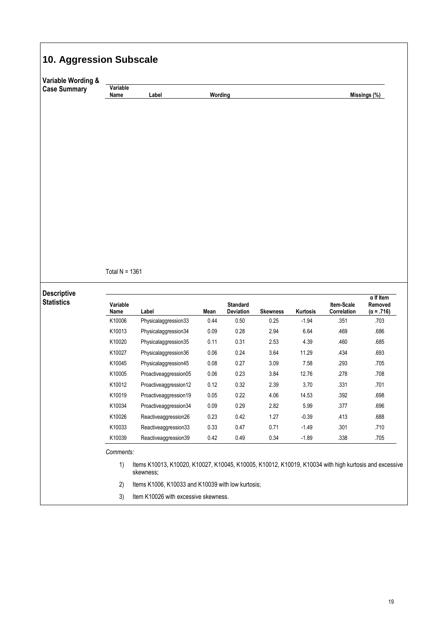| Variable Wording &                      |                  |                                                                                                                    |         |                              |                 |          |                           |                                                  |
|-----------------------------------------|------------------|--------------------------------------------------------------------------------------------------------------------|---------|------------------------------|-----------------|----------|---------------------------|--------------------------------------------------|
| <b>Case Summary</b>                     | Variable<br>Name | Label                                                                                                              | Wording |                              |                 |          |                           | Missings (%)                                     |
|                                         |                  |                                                                                                                    |         |                              |                 |          |                           |                                                  |
|                                         | Total $N = 1361$ |                                                                                                                    |         |                              |                 |          |                           |                                                  |
| <b>Descriptive</b><br><b>Statistics</b> | Variable<br>Name | Label                                                                                                              | Mean    | <b>Standard</b><br>Deviation | <b>Skewness</b> | Kurtosis | Item-Scale<br>Correlation | $\alpha$ If Item<br>Removed<br>$(\alpha = .716)$ |
|                                         | K10006           | Physicalaggression33                                                                                               | 0.44    | 0.50                         | 0.25            | $-1.94$  | .351                      | .703                                             |
|                                         | K10013           | Physicalaggression34                                                                                               | 0.09    | 0.28                         | 2.94            | 6.64     | .469                      | .686                                             |
|                                         | K10020           | Physicalaggression35                                                                                               | 0.11    | 0.31                         | 2.53            | 4.39     | .460                      | .685                                             |
|                                         | K10027           | Physicalaggression36                                                                                               | 0.06    | 0.24                         | 3.64            | 11.29    | .434                      | .693                                             |
|                                         | K10045           | Physicalaggression45                                                                                               | 0.08    | 0.27                         | 3.09            | 7.58     | .293                      | .705                                             |
|                                         | K10005           | Proactiveaggression05                                                                                              | 0.06    | 0.23                         | 3.84            | 12.76    | .278                      | .708                                             |
|                                         | K10012           | Proactiveaggression12                                                                                              | 0.12    | 0.32                         | 2.39            | 3.70     | .331                      | .701                                             |
|                                         | K10019           | Proactiveaggression19                                                                                              | 0.05    | 0.22                         | 4.06            | 14.53    | .392                      | .698                                             |
|                                         | K10034           | Proactiveaggression34                                                                                              | 0.09    | 0.29                         | 2.82            | 5.99     | .377                      | .696                                             |
|                                         | K10026           | Reactiveaggression26                                                                                               | 0.23    | 0.42                         | 1.27            | $-0.39$  | .413                      | .688                                             |
|                                         | K10033           | Reactiveaggression33                                                                                               | 0.33    | $0.47\,$                     | 0.71            | $-1.49$  | .301                      | .710                                             |
|                                         | K10039           | Reactiveaggression39                                                                                               | 0.42    | 0.49                         | 0.34            | $-1.89$  | .338                      | .705                                             |
|                                         | Comments:<br>1)  | Items K10013, K10020, K10027, K10045, K10005, K10012, K10019, K10034 with high kurtosis and excessive<br>skewness; |         |                              |                 |          |                           |                                                  |
|                                         | 2)               | Items K1006, K10033 and K10039 with low kurtosis;                                                                  |         |                              |                 |          |                           |                                                  |

 $\mathbf{r}$